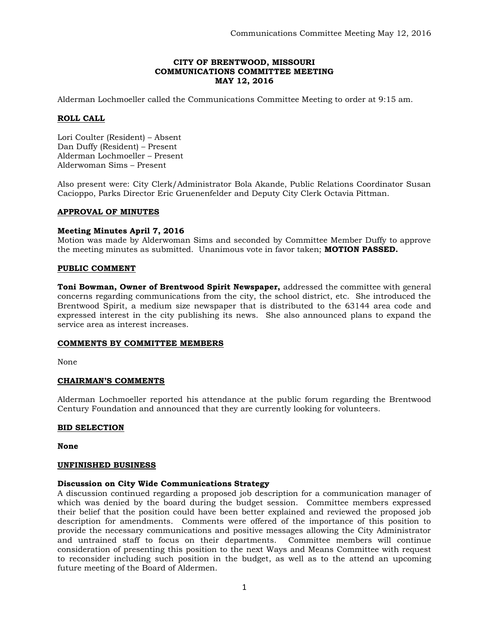## **CITY OF BRENTWOOD, MISSOURI COMMUNICATIONS COMMITTEE MEETING MAY 12, 2016**

Alderman Lochmoeller called the Communications Committee Meeting to order at 9:15 am.

### **ROLL CALL**

Lori Coulter (Resident) – Absent Dan Duffy (Resident) – Present Alderman Lochmoeller – Present Alderwoman Sims – Present

Also present were: City Clerk/Administrator Bola Akande, Public Relations Coordinator Susan Cacioppo, Parks Director Eric Gruenenfelder and Deputy City Clerk Octavia Pittman.

### **APPROVAL OF MINUTES**

### **Meeting Minutes April 7, 2016**

Motion was made by Alderwoman Sims and seconded by Committee Member Duffy to approve the meeting minutes as submitted. Unanimous vote in favor taken; **MOTION PASSED.** 

#### **PUBLIC COMMENT**

**Toni Bowman, Owner of Brentwood Spirit Newspaper,** addressed the committee with general concerns regarding communications from the city, the school district, etc. She introduced the Brentwood Spirit, a medium size newspaper that is distributed to the 63144 area code and expressed interest in the city publishing its news. She also announced plans to expand the service area as interest increases.

### **COMMENTS BY COMMITTEE MEMBERS**

None

### **CHAIRMAN'S COMMENTS**

Alderman Lochmoeller reported his attendance at the public forum regarding the Brentwood Century Foundation and announced that they are currently looking for volunteers.

### **BID SELECTION**

**None**

#### **UNFINISHED BUSINESS**

#### **Discussion on City Wide Communications Strategy**

A discussion continued regarding a proposed job description for a communication manager of which was denied by the board during the budget session. Committee members expressed their belief that the position could have been better explained and reviewed the proposed job description for amendments. Comments were offered of the importance of this position to provide the necessary communications and positive messages allowing the City Administrator and untrained staff to focus on their departments. Committee members will continue consideration of presenting this position to the next Ways and Means Committee with request to reconsider including such position in the budget, as well as to the attend an upcoming future meeting of the Board of Aldermen.